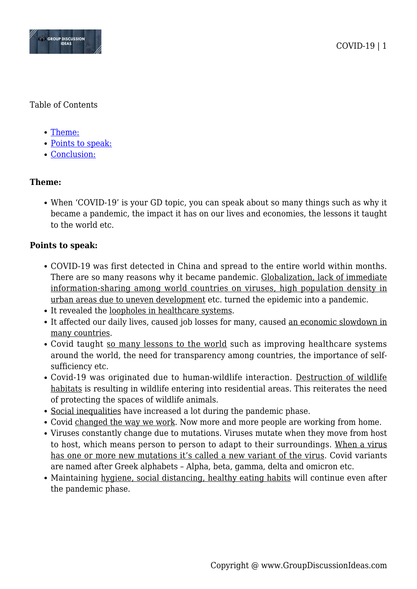

## Table of Contents

- [Theme:](#page--1-0)
- [Points to speak:](#page--1-0)
- [Conclusion:](#page--1-0)

# **Theme:**

When 'COVID-19' is your GD topic, you can speak about so many things such as why it became a pandemic, the impact it has on our lives and economies, the lessons it taught to the world etc.

## **Points to speak:**

- COVID-19 was first detected in China and spread to the entire world within months. There are so many reasons why it became pandemic. Globalization, lack of immediate information-sharing among world countries on viruses, high population density in urban areas due to uneven development etc. turned the epidemic into a pandemic.
- It revealed the loopholes in healthcare systems.
- It affected our daily lives, caused job losses for many, caused an economic slowdown in many countries.
- Covid taught so many lessons to the world such as improving healthcare systems around the world, the need for transparency among countries, the importance of selfsufficiency etc.
- Covid-19 was originated due to human-wildlife interaction. Destruction of wildlife habitats is resulting in wildlife entering into residential areas. This reiterates the need of protecting the spaces of wildlife animals.
- Social inequalities have increased a lot during the pandemic phase.
- Covid changed the way we work. Now more and more people are working from home.
- Viruses constantly change due to mutations. Viruses mutate when they move from host to host, which means person to person to adapt to their surroundings. When a virus has one or more new mutations it's called a new variant of the virus. Covid variants are named after Greek alphabets – Alpha, beta, gamma, delta and omicron etc.
- Maintaining hygiene, social distancing, healthy eating habits will continue even after the pandemic phase.